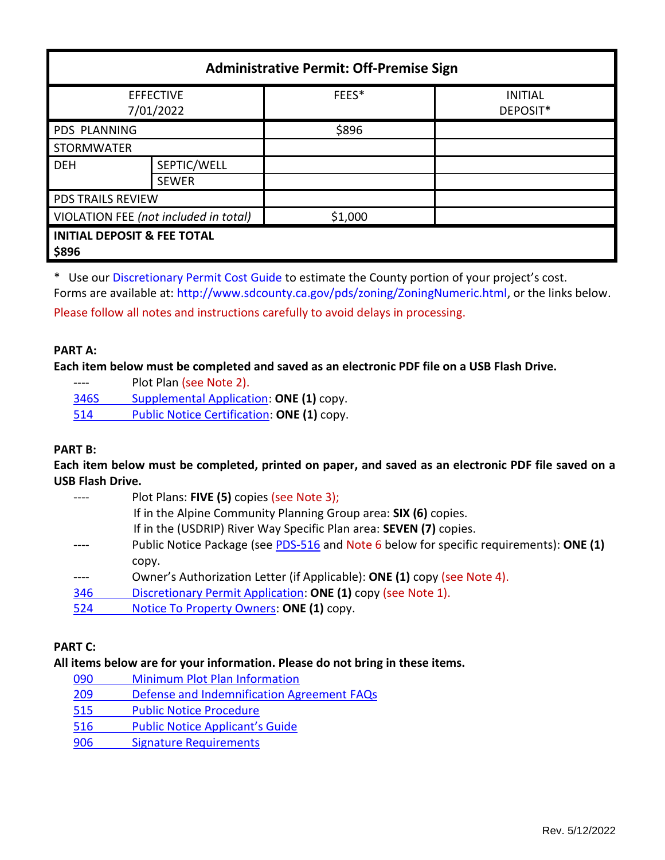| <b>Administrative Permit: Off-Premise Sign</b>  |                             |         |                            |  |  |
|-------------------------------------------------|-----------------------------|---------|----------------------------|--|--|
| <b>EFFECTIVE</b><br>7/01/2022                   |                             | FEES*   | <b>INITIAL</b><br>DEPOSIT* |  |  |
| <b>PDS PLANNING</b>                             |                             | \$896   |                            |  |  |
| <b>STORMWATER</b>                               |                             |         |                            |  |  |
| <b>DEH</b>                                      | SEPTIC/WELL<br><b>SEWER</b> |         |                            |  |  |
| <b>PDS TRAILS REVIEW</b>                        |                             |         |                            |  |  |
| VIOLATION FEE (not included in total)           |                             | \$1,000 |                            |  |  |
| <b>INITIAL DEPOSIT &amp; FEE TOTAL</b><br>\$896 |                             |         |                            |  |  |

\* Use ou[r Discretionary Permit Cost Guide](http://www.sandiegocounty.gov/content/dam/sdc/pds/docs/Discretionary_Permit_Cost_Guide.xlsx) to estimate the County portion of your project's cost. Forms are available at[: http://www.sdcounty.ca.gov/pds/zoning/ZoningNumeric.html,](http://www.sdcounty.ca.gov/pds/zoning/ZoningNumeric.html) or the links below.

Please follow all notes and instructions carefully to avoid delays in processing.

### **PART A:**

**Each item below must be completed and saved as an electronic PDF file on a USB Flash Drive.**

---- Plot Plan (see Note 2).

[346S Supplemental Application:](https://www.sandiegocounty.gov/content/dam/sdc/pds/zoning/formfields/PDS-PLN-346S.pdf) **ONE (1)** copy.

514 [Public Notice Certification:](https://www.sandiegocounty.gov/content/dam/sdc/pds/zoning/formfields/PDS-PLN-514.pdf) **ONE (1)** copy.

## **PART B:**

**Each item below must be completed, printed on paper, and saved as an electronic PDF file saved on a USB Flash Drive.**

|     | Plot Plans: FIVE (5) copies (see Note 3);                                               |
|-----|-----------------------------------------------------------------------------------------|
|     | If in the Alpine Community Planning Group area: SIX (6) copies.                         |
|     | If in the (USDRIP) River Way Specific Plan area: SEVEN (7) copies.                      |
|     | Public Notice Package (see PDS-516 and Note 6 below for specific requirements): ONE (1) |
|     | copy.                                                                                   |
|     | Owner's Authorization Letter (if Applicable): ONE (1) copy (see Note 4).                |
| 346 | Discretionary Permit Application: ONE (1) copy (see Note 1).                            |
| 524 | Notice To Property Owners: ONE (1) copy.                                                |
|     |                                                                                         |

# **PART C:**

## **All items below are for your information. Please do not bring in these items.**

 [Minimum Plot Plan Information](http://www.sdcounty.ca.gov/pds/docs/pds090.pdf) [Defense and Indemnification Agreement](https://www.sandiegocounty.gov/content/dam/sdc/pds/zoning/formfields/PDS-PLN-209.pdf) FAQs [Public Notice Procedure](https://www.sandiegocounty.gov/content/dam/sdc/pds/zoning/formfields/PDS-PLN-515.pdf)  [Public Notice App](https://www.sandiegocounty.gov/content/dam/sdc/pds/zoning/formfields/PDS-PLN-516.pdf)licant's Guide [Signature Requirements](https://www.sandiegocounty.gov/content/dam/sdc/pds/zoning/formfields/PDS-PLN-906.pdf)